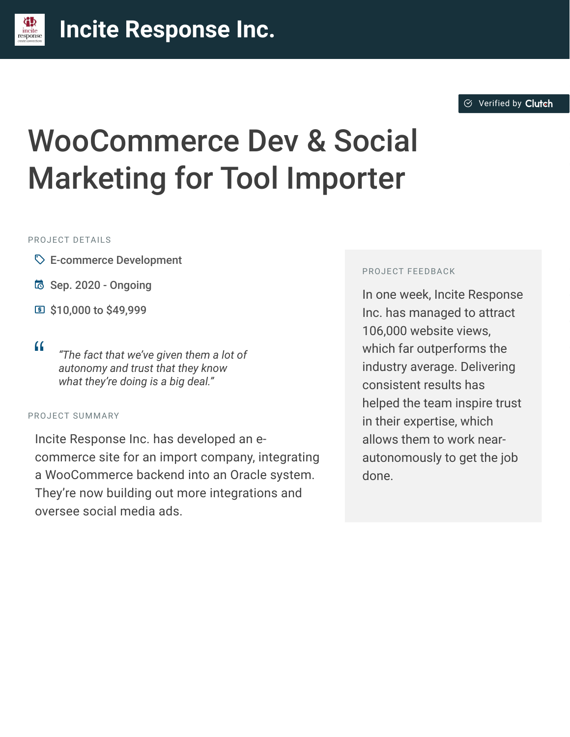#### **[I](https://clutch.co/profile/incite-response-0?utm_source=case_studies&utm_medium=logo)ncite Response Inc.** incite

# WooCommerce Dev & Social Marketing for Tool Importer

#### PROJECT DETAILS

- $\heartsuit$  E-commerce Development
- B Sep. 2020 Ongoing
- C \$10,000 to \$49,999
- 

<sup>D</sup> *"The fact that we've given them a lot of autonomy and trust that they know what they're doing is a big deal."*

#### PROJECT SUMMARY

Incite Response Inc. has developed an ecommerce site for an import company, integrating a WooCommerce backend into an Oracle system. They're now building out more integrations and oversee social media ads.

#### PROJECT FEEDBACK

In one week, Incite Response Inc. has managed to attract 106,000 website views, which far outperforms the industry average. Delivering consistent results has helped the team inspire trust in their expertise, which allows them to work nearautonomously to get the job done.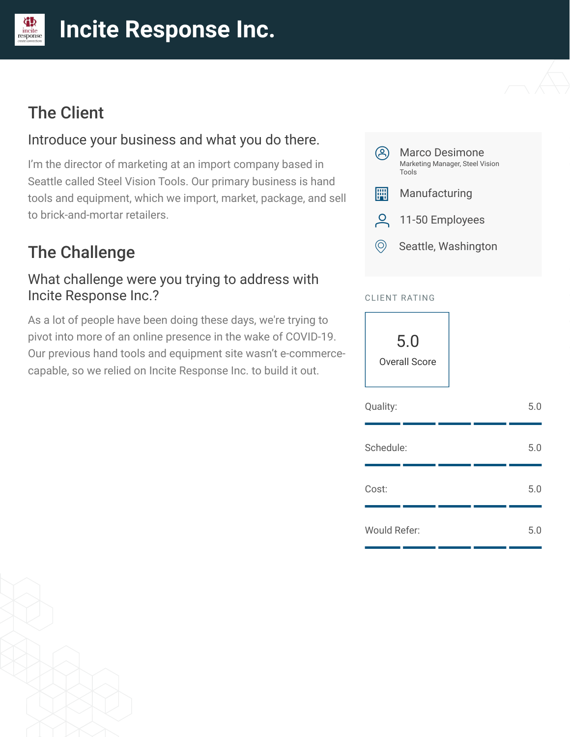#### **[I](https://clutch.co/profile/incite-response-0?utm_source=case_studies&utm_medium=logo)ncite Response Inc.** incite<br>response

# The Client

## Introduce your business and what you do there.

I'm the director of marketing at an import company based in Seattle called Steel Vision Tools. Our primary business is hand tools and equipment, which we import, market, package, and sell to brick-and-mortar retailers.

# The Challenge

#### What challenge were you trying to address with Incite Response Inc.?

As a lot of people have been doing these days, we're trying to pivot into more of an online presence in the wake of COVID-19. Our previous hand tools and equipment site wasn't e-commercecapable, so we relied on Incite Response Inc. to build it out.



#### CLIENT RATING

5.0 Overall Score

| Quality:            |  | 5.0 |
|---------------------|--|-----|
| Schedule:           |  | 5.0 |
| Cost:               |  | 5.0 |
| <b>Would Refer:</b> |  | 5.0 |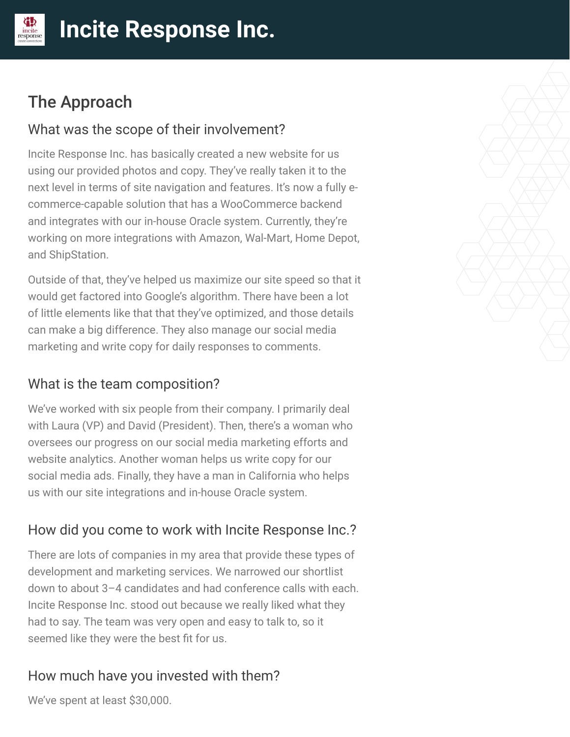# The Approach

incite

#### What was the scope of their involvement?

Incite Response Inc. has basically created a new website for us using our provided photos and copy. They've really taken it to the next level in terms of site navigation and features. It's now a fully ecommerce-capable solution that has a WooCommerce backend and integrates with our in-house Oracle system. Currently, they're working on more integrations with Amazon, Wal-Mart, Home Depot, and ShipStation.

Outside of that, they've helped us maximize our site speed so that it would get factored into Google's algorithm. There have been a lot of little elements like that that they've optimized, and those details can make a big difference. They also manage our social media marketing and write copy for daily responses to comments.

## What is the team composition?

We've worked with six people from their company. I primarily deal with Laura (VP) and David (President). Then, there's a woman who oversees our progress on our social media marketing efforts and website analytics. Another woman helps us write copy for our social media ads. Finally, they have a man in California who helps us with our site integrations and in-house Oracle system.

## How did you come to work with Incite Response Inc.?

There are lots of companies in my area that provide these types of development and marketing services. We narrowed our shortlist down to about 3–4 candidates and had conference calls with each. Incite Response Inc. stood out because we really liked what they had to say. The team was very open and easy to talk to, so it seemed like they were the best fit for us.

## How much have you invested with them?

We've spent at least \$30,000.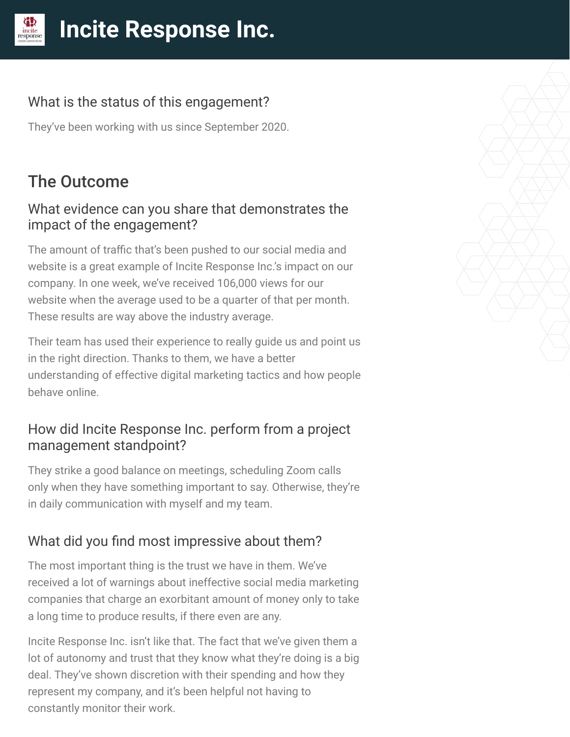#### What is the status of this engagement?

They've been working with us since September 2020.

# The Outcome

#### What evidence can you share that demonstrates the impact of the engagement?

The amount of traffic that's been pushed to our social media and website is a great example of Incite Response Inc.'s impact on our company. In one week, we've received 106,000 views for our website when the average used to be a quarter of that per month. These results are way above the industry average.

Their team has used their experience to really guide us and point us in the right direction. Thanks to them, we have a better understanding of effective digital marketing tactics and how people behave online.

#### How did Incite Response Inc. perform from a project management standpoint?

They strike a good balance on meetings, scheduling Zoom calls only when they have something important to say. Otherwise, they're in daily communication with myself and my team.

## What did you find most impressive about them?

The most important thing is the trust we have in them. We've received a lot of warnings about ineffective social media marketing companies that charge an exorbitant amount of money only to take a long time to produce results, if there even are any.

Incite Response Inc. isn't like that. The fact that we've given them a lot of autonomy and trust that they know what they're doing is a big deal. They've shown discretion with their spending and how they represent my company, and it's been helpful not having to constantly monitor their work.